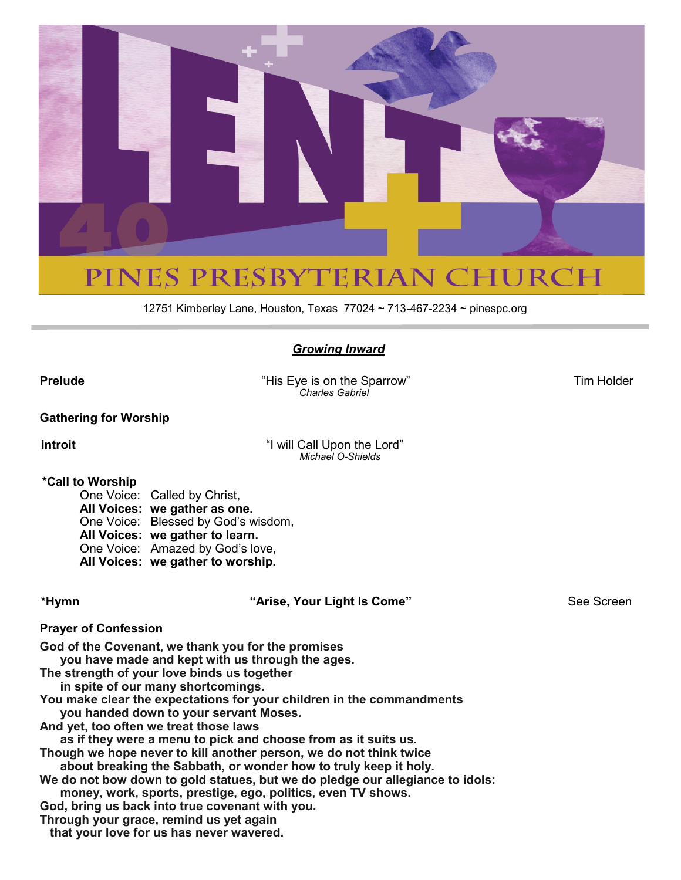

12751 Kimberley Lane, Houston, Texas 77024 ~ 713-467-2234 ~ pinespc.org

#### *Growing Inward*

**Prelude** Tim Holder **The Sparrow His Eye is on the Sparrow** Tim Holder Tim Holder  *Charles Gabriel*

**Gathering for Worship**

**Introit** "I will Call Upon the Lord" *Michael O-Shields*

#### **\*Call to Worship**

One Voice: Called by Christ, **All Voices: we gather as one.**  One Voice: Blessed by God's wisdom, **All Voices: we gather to learn.**  One Voice: Amazed by God's love, **All Voices: we gather to worship.** 

**\*Hymn "Arise, Your Light Is Come"** See Screen

#### **Prayer of Confession**

**God of the Covenant, we thank you for the promises**

 **you have made and kept with us through the ages.**

**The strength of your love binds us together in spite of our many shortcomings.**

**You make clear the expectations for your children in the commandments** 

 **you handed down to your servant Moses.**

**And yet, too often we treat those laws**

 **as if they were a menu to pick and choose from as it suits us.**

**Though we hope never to kill another person, we do not think twice** 

 **about breaking the Sabbath, or wonder how to truly keep it holy. We do not bow down to gold statues, but we do pledge our allegiance to idols:**

 **money, work, sports, prestige, ego, politics, even TV shows.**

**God, bring us back into true covenant with you.**

**Through your grace, remind us yet again**

 **that your love for us has never wavered.**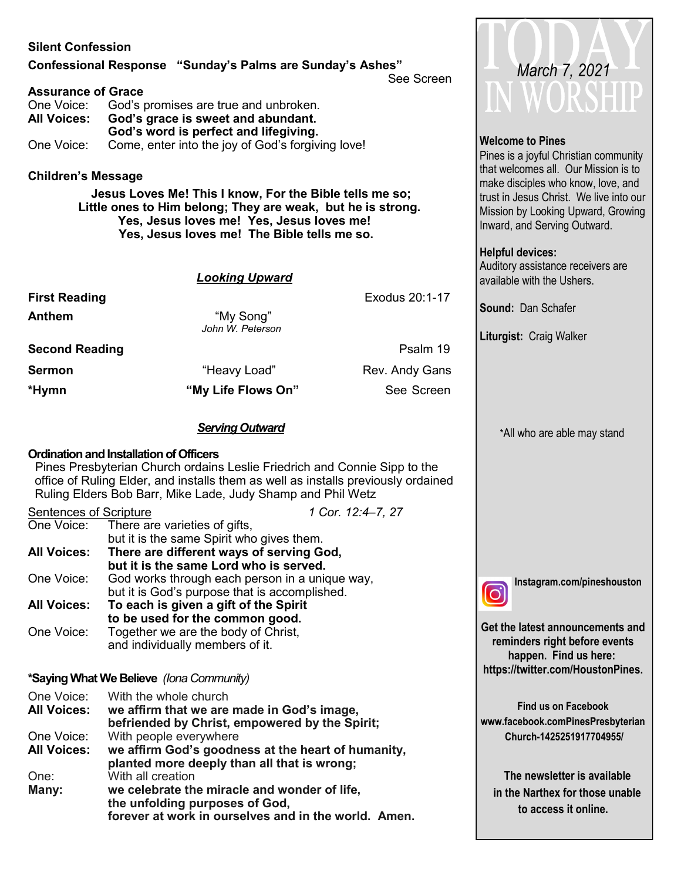#### **Silent Confession**

#### **Confessional Response "Sunday's Palms are Sunday's Ashes"**

See Screen

#### **Assurance of Grace**

| One Voice:         | God's promises are true and unbroken.             |  |  |
|--------------------|---------------------------------------------------|--|--|
| <b>All Voices:</b> | God's grace is sweet and abundant.                |  |  |
|                    | God's word is perfect and lifegiving.             |  |  |
| One Voice:         | Come, enter into the joy of God's forgiving love! |  |  |

**Children's Message**

 **Jesus Loves Me! This I know, For the Bible tells me so; Little ones to Him belong; They are weak, but he is strong. Yes, Jesus loves me! Yes, Jesus loves me! Yes, Jesus loves me! The Bible tells me so.**

#### *Looking Upward*

| <b>First Reading</b>  |                               | Exodus 20:1-17 |
|-----------------------|-------------------------------|----------------|
| Anthem                | "My Song"<br>John W. Peterson |                |
| <b>Second Reading</b> |                               | Psalm 19       |
| Sermon                | "Heavy Load"                  | Rev. Andy Gans |
| *Hymn                 | "My Life Flows On"            | See Screen     |
|                       |                               |                |

#### *Serving Outward*

#### **Ordination and Installation of Officers**

Pines Presbyterian Church ordains Leslie Friedrich and Connie Sipp to the office of Ruling Elder, and installs them as well as installs previously ordained Ruling Elders Bob Barr, Mike Lade, Judy Shamp and Phil Wetz

Sentences of Scripture *1 Cor. 12:4–7, 27* There are varieties of gifts, but it is the same Spirit who gives them. **All Voices: There are different ways of serving God, but it is the same Lord who is served.** One Voice: God works through each person in a unique way, but it is God's purpose that is accomplished. **All Voices: To each is given a gift of the Spirit to be used for the common good.** One Voice: Together we are the body of Christ, and individually members of it.

#### **\*Saying What We Believe** *(Iona Community)*

One Voice: With the whole church<br>**All Voices: we affirm that we are All Voices: we affirm that we are made in God's image, befriended by Christ, empowered by the Spirit;** One Voice: With people everywhere **All Voices: we affirm God's goodness at the heart of humanity, planted more deeply than all that is wrong;** One: With all creation **Many: we celebrate the miracle and wonder of life, the unfolding purposes of God, forever at work in ourselves and in the world. Amen.**



#### **Welcome to Pines**

Pines is a joyful Christian community that welcomes all. Our Mission is to make disciples who know, love, and trust in Jesus Christ. We live into our Mission by Looking Upward, Growing Inward, and Serving Outward.

#### **Helpful devices:**

Auditory assistance receivers are available with the Ushers.

**Sound:** Dan Schafer

**Liturgist:** Craig Walker

\*All who are able may stand



**Instagram.com/pineshouston** 

**Get the latest announcements and reminders right before events happen. Find us here: https://twitter.com/HoustonPines.** 

**Find us on Facebook www.facebook.comPinesPresbyterian Church-1425251917704955/**

 **The newsletter is available in the Narthex for those unable to access it online.**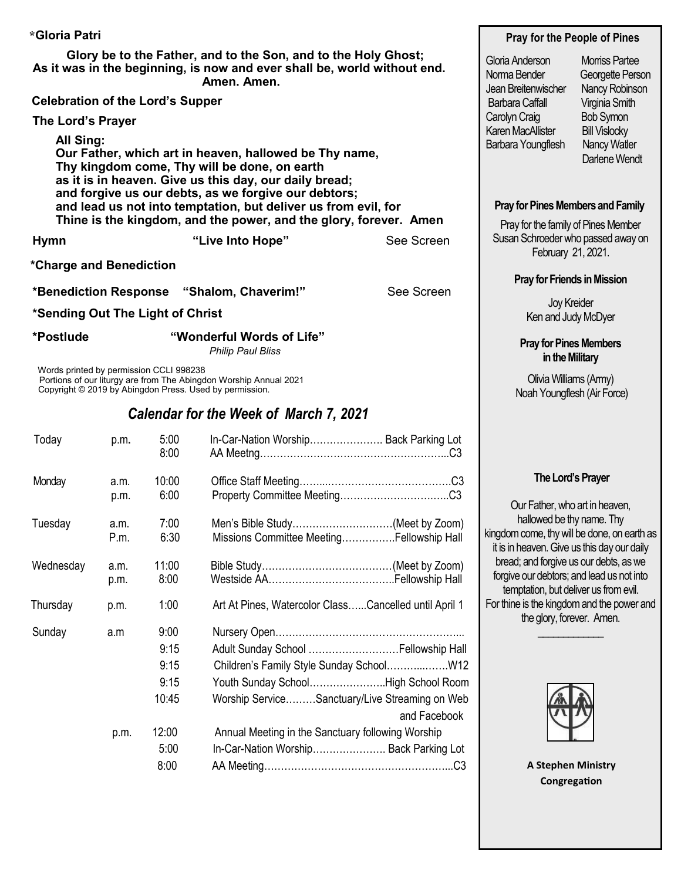| *Gloria Patri                                                                                                                                                                                                                                                                                           |                                               |                                                                   |                                                                                 |                                    | Pray for the People of Pines                                                                                     |                                                             |  |
|---------------------------------------------------------------------------------------------------------------------------------------------------------------------------------------------------------------------------------------------------------------------------------------------------------|-----------------------------------------------|-------------------------------------------------------------------|---------------------------------------------------------------------------------|------------------------------------|------------------------------------------------------------------------------------------------------------------|-------------------------------------------------------------|--|
| Glory be to the Father, and to the Son, and to the Holy Ghost;<br>As it was in the beginning, is now and ever shall be, world without end.<br>Amen. Amen.                                                                                                                                               |                                               |                                                                   |                                                                                 |                                    | Gloria Anderson<br>Norma Bender<br>Jean Breitenwischer                                                           | <b>Morriss Partee</b><br>Georgette Person<br>Nancy Robinson |  |
| <b>Celebration of the Lord's Supper</b>                                                                                                                                                                                                                                                                 |                                               | <b>Barbara Caffall</b>                                            | Virginia Smith                                                                  |                                    |                                                                                                                  |                                                             |  |
| The Lord's Prayer                                                                                                                                                                                                                                                                                       |                                               | Carolyn Craig                                                     | <b>Bob Symon</b>                                                                |                                    |                                                                                                                  |                                                             |  |
| All Sing:<br>Our Father, which art in heaven, hallowed be Thy name,<br>Thy kingdom come, Thy will be done, on earth<br>as it is in heaven. Give us this day, our daily bread;<br>and forgive us our debts, as we forgive our debtors;<br>and lead us not into temptation, but deliver us from evil, for |                                               |                                                                   |                                                                                 |                                    | <b>Karen MacAllister</b><br>Barbara Youngflesh                                                                   | <b>Bill Vislocky</b><br>Nancy Watler<br>Darlene Wendt       |  |
|                                                                                                                                                                                                                                                                                                         |                                               | Thine is the kingdom, and the power, and the glory, forever. Amen | <b>Pray for Pines Members and Family</b><br>Pray for the family of Pines Member |                                    |                                                                                                                  |                                                             |  |
| <b>Hymn</b>                                                                                                                                                                                                                                                                                             |                                               |                                                                   | "Live Into Hope"                                                                | See Screen                         | Susan Schroeder who passed away on<br>February 21, 2021.                                                         |                                                             |  |
| *Charge and Benediction                                                                                                                                                                                                                                                                                 |                                               |                                                                   |                                                                                 |                                    |                                                                                                                  |                                                             |  |
| See Screen<br>*Benediction Response "Shalom, Chaverim!"                                                                                                                                                                                                                                                 |                                               |                                                                   |                                                                                 | <b>Pray for Friends in Mission</b> |                                                                                                                  |                                                             |  |
| *Sending Out The Light of Christ                                                                                                                                                                                                                                                                        |                                               |                                                                   |                                                                                 | Joy Kreider<br>Ken and Judy McDyer |                                                                                                                  |                                                             |  |
| *Postlude                                                                                                                                                                                                                                                                                               |                                               |                                                                   | "Wonderful Words of Life"<br><b>Philip Paul Bliss</b>                           |                                    | <b>Pray for Pines Members</b><br>in the Military                                                                 |                                                             |  |
| Words printed by permission CCLI 998238<br>Portions of our liturgy are from The Abingdon Worship Annual 2021<br>Copyright © 2019 by Abingdon Press. Used by permission.                                                                                                                                 |                                               |                                                                   |                                                                                 |                                    | Olivia Williams (Amy)<br>Noah Youngflesh (Air Force)                                                             |                                                             |  |
|                                                                                                                                                                                                                                                                                                         | <b>Calendar for the Week of March 7, 2021</b> |                                                                   |                                                                                 |                                    |                                                                                                                  |                                                             |  |
| Today                                                                                                                                                                                                                                                                                                   | p.m.                                          | 5:00<br>8:00                                                      | In-Car-Nation Worship Back Parking Lot                                          |                                    |                                                                                                                  |                                                             |  |
| Monday                                                                                                                                                                                                                                                                                                  | a.m.                                          | 10:00                                                             |                                                                                 |                                    | The Lord's Prayer                                                                                                |                                                             |  |
|                                                                                                                                                                                                                                                                                                         | p.m.                                          | 6:00                                                              |                                                                                 |                                    |                                                                                                                  |                                                             |  |
|                                                                                                                                                                                                                                                                                                         |                                               |                                                                   |                                                                                 |                                    | Our Father, who art in heaven,                                                                                   |                                                             |  |
| Tuesday                                                                                                                                                                                                                                                                                                 | a.m.<br>P.m.                                  | 7:00<br>6:30                                                      | Men's Bible Study(Meet by Zoom)<br>Missions Committee MeetingFellowship Hall    |                                    | hallowed be thy name. Thy<br>kingdom come, thy will be done, on earth as                                         |                                                             |  |
|                                                                                                                                                                                                                                                                                                         |                                               |                                                                   |                                                                                 |                                    | it is in heaven. Give us this day our daily                                                                      |                                                             |  |
| Wednesday                                                                                                                                                                                                                                                                                               | a.m.                                          | 11:00                                                             |                                                                                 |                                    | bread; and forgive us our debts, as we<br>forgive our debtors; and lead us not into                              |                                                             |  |
|                                                                                                                                                                                                                                                                                                         | p.m.                                          | 8:00                                                              |                                                                                 |                                    |                                                                                                                  |                                                             |  |
| Thursday                                                                                                                                                                                                                                                                                                | p.m.                                          | 1:00                                                              | Art At Pines, Watercolor ClassCancelled until April 1                           |                                    | temptation, but deliver us from evil.<br>For thine is the kingdom and the power and<br>the glory, forever. Amen. |                                                             |  |
| Sunday                                                                                                                                                                                                                                                                                                  | a.m                                           | 9:00                                                              |                                                                                 |                                    |                                                                                                                  |                                                             |  |
|                                                                                                                                                                                                                                                                                                         |                                               | 9:15                                                              | Adult Sunday School Fellowship Hall                                             |                                    |                                                                                                                  |                                                             |  |
|                                                                                                                                                                                                                                                                                                         |                                               | 9:15                                                              |                                                                                 |                                    |                                                                                                                  |                                                             |  |
|                                                                                                                                                                                                                                                                                                         |                                               | 9:15                                                              | Youth Sunday SchoolHigh School Room                                             |                                    |                                                                                                                  |                                                             |  |
|                                                                                                                                                                                                                                                                                                         |                                               | 10:45                                                             | Worship ServiceSanctuary/Live Streaming on Web                                  | and Facebook                       |                                                                                                                  |                                                             |  |
|                                                                                                                                                                                                                                                                                                         | p.m.                                          | 12:00                                                             | Annual Meeting in the Sanctuary following Worship                               |                                    |                                                                                                                  |                                                             |  |
|                                                                                                                                                                                                                                                                                                         |                                               | 5:00                                                              | In-Car-Nation Worship Back Parking Lot                                          |                                    |                                                                                                                  |                                                             |  |
|                                                                                                                                                                                                                                                                                                         |                                               | 8:00                                                              |                                                                                 |                                    | <b>A Stephen Ministry</b><br>Congregation                                                                        |                                                             |  |